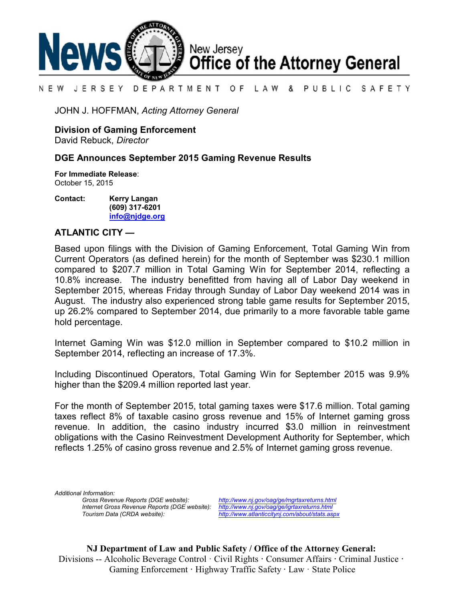

#### LAW & PUBLIC SAFETY N E W JERSEY DEPARTMENT OF

JOHN J. HOFFMAN, *Acting Attorney General*

**Division of Gaming Enforcement**

David Rebuck, *Director*

## **DGE Announces September 2015 Gaming Revenue Results**

**For Immediate Release**: October 15, 2015

**Contact: Kerry Langan (609) 317-6201 [info@njdge.org](file:///|//info@njdge.org)**

# **ATLANTIC CITY —**

Based upon filings with the Division of Gaming Enforcement, Total Gaming Win from Current Operators (as defined herein) for the month of September was \$230.1 million compared to \$207.7 million in Total Gaming Win for September 2014, reflecting a 10.8% increase. The industry benefitted from having all of Labor Day weekend in September 2015, whereas Friday through Sunday of Labor Day weekend 2014 was in August. The industry also experienced strong table game results for September 2015, up 26.2% compared to September 2014, due primarily to a more favorable table game hold percentage.

Internet Gaming Win was \$12.0 million in September compared to \$10.2 million in September 2014, reflecting an increase of 17.3%.

Including Discontinued Operators, Total Gaming Win for September 2015 was 9.9% higher than the \$209.4 million reported last year.

For the month of September 2015, total gaming taxes were \$17.6 million. Total gaming taxes reflect 8% of taxable casino gross revenue and 15% of Internet gaming gross revenue. In addition, the casino industry incurred \$3.0 million in reinvestment obligations with the Casino Reinvestment Development Authority for September, which reflects 1.25% of casino gross revenue and 2.5% of Internet gaming gross revenue.

*Additional Information: Internet Gross Revenue Reports (DGE website): <http://www.nj.gov/oag/ge/igrtaxreturns.html>*

*Gross Revenue Reports (DGE website): <http://www.nj.gov/oag/ge/mgrtaxreturns.html> Tourism Data (CRDA website): <http://www.atlanticcitynj.com/about/stats.aspx>*

**NJ Department of Law and Public Safety / Office of the Attorney General:** Divisions -- Alcoholic Beverage Control · Civil Rights **·** Consumer Affairs **·** Criminal Justice **·**  Gaming Enforcement **·** Highway Traffic Safety **·** Law · State Police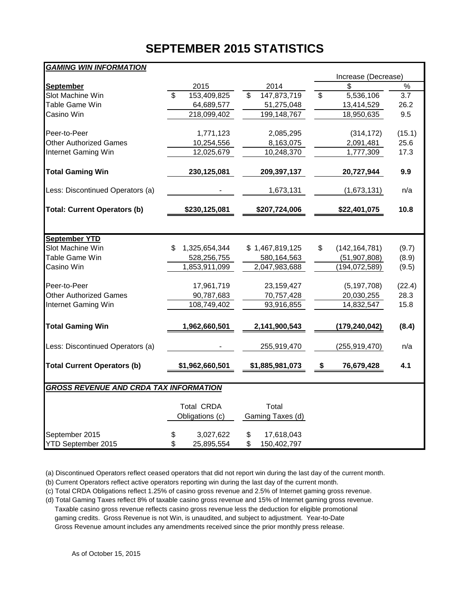# **SEPTEMBER 2015 STATISTICS**

| <b>GAMING WIN INFORMATION</b>                 |                                        |                   |                                       |        |  |  |
|-----------------------------------------------|----------------------------------------|-------------------|---------------------------------------|--------|--|--|
|                                               |                                        |                   | Increase (Decrease)                   |        |  |  |
| <b>September</b>                              | 2015                                   | 2014              | \$                                    | $\%$   |  |  |
| Slot Machine Win                              | $\overline{\mathbb{S}}$<br>153,409,825 | 147,873,719<br>\$ | $\overline{\mathcal{S}}$<br>5,536,106 | 3.7    |  |  |
| Table Game Win                                | 64,689,577                             | 51,275,048        | 13,414,529                            | 26.2   |  |  |
| Casino Win                                    | 218,099,402                            | 199, 148, 767     | 18,950,635                            | 9.5    |  |  |
| Peer-to-Peer                                  | 1,771,123                              | 2,085,295         | (314, 172)                            | (15.1) |  |  |
| <b>Other Authorized Games</b>                 | 10,254,556                             | 8,163,075         | 2,091,481                             | 25.6   |  |  |
| Internet Gaming Win                           | 12,025,679                             | 10,248,370        | 1,777,309                             | 17.3   |  |  |
| <b>Total Gaming Win</b>                       | 230,125,081                            | 209,397,137       | 20,727,944                            | 9.9    |  |  |
| Less: Discontinued Operators (a)              |                                        | 1,673,131         | (1,673,131)                           | n/a    |  |  |
| <b>Total: Current Operators (b)</b>           | \$230,125,081                          | \$207,724,006     | \$22,401,075                          | 10.8   |  |  |
|                                               |                                        |                   |                                       |        |  |  |
| <b>September YTD</b>                          |                                        |                   |                                       |        |  |  |
| Slot Machine Win                              | \$<br>1,325,654,344                    | \$1,467,819,125   | \$<br>(142, 164, 781)                 | (9.7)  |  |  |
| Table Game Win                                | 528,256,755                            | 580,164,563       | (51, 907, 808)                        | (8.9)  |  |  |
| Casino Win                                    | 1,853,911,099                          | 2,047,983,688     | (194, 072, 589)                       | (9.5)  |  |  |
| Peer-to-Peer                                  | 17,961,719                             | 23, 159, 427      | (5, 197, 708)                         | (22.4) |  |  |
| <b>Other Authorized Games</b>                 | 90,787,683                             | 70,757,428        | 20,030,255                            | 28.3   |  |  |
| Internet Gaming Win                           | 108,749,402                            | 93,916,855        | 14,832,547                            | 15.8   |  |  |
| <b>Total Gaming Win</b>                       | 1,962,660,501                          | 2,141,900,543     | (179, 240, 042)                       | (8.4)  |  |  |
| Less: Discontinued Operators (a)              |                                        | 255,919,470       | (255, 919, 470)                       | n/a    |  |  |
| <b>Total Current Operators (b)</b>            | \$1,962,660,501                        | \$1,885,981,073   | 76,679,428<br>\$                      | 4.1    |  |  |
| <b>GROSS REVENUE AND CRDA TAX INFORMATION</b> |                                        |                   |                                       |        |  |  |
|                                               | <b>Total CRDA</b>                      | Total             |                                       |        |  |  |
|                                               | Obligations (c)                        | Gaming Taxes (d)  |                                       |        |  |  |
| September 2015                                | 3,027,622<br>\$                        | \$<br>17,618,043  |                                       |        |  |  |
| YTD September 2015                            | \$<br>25,895,554                       | \$<br>150,402,797 |                                       |        |  |  |

(a) Discontinued Operators reflect ceased operators that did not report win during the last day of the current month.

(b) Current Operators reflect active operators reporting win during the last day of the current month.

(c) Total CRDA Obligations reflect 1.25% of casino gross revenue and 2.5% of Internet gaming gross revenue.

(d) Total Gaming Taxes reflect 8% of taxable casino gross revenue and 15% of Internet gaming gross revenue. Taxable casino gross revenue reflects casino gross revenue less the deduction for eligible promotional gaming credits. Gross Revenue is not Win, is unaudited, and subject to adjustment. Year-to-Date Gross Revenue amount includes any amendments received since the prior monthly press release.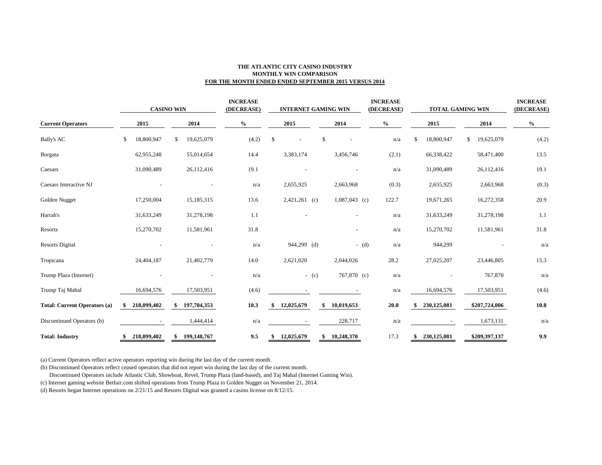### **THE ATLANTIC CITY CASINO INDUSTRY MONTHLY WIN COMPARISON FOR THE MONTH ENDED ENDED SEPTEMBER 2015 VERSUS 2014**

|                                     | <b>CASINO WIN</b> |             |    | <b>INCREASE</b><br>(DECREASE) | <b>INTERNET GAMING WIN</b> |       |      |                 | <b>INCREASE</b><br>(DECREASE) | <b>TOTAL GAMING WIN</b>  |                                    |       | <b>INCREASE</b><br>(DECREASE) |                          |              |                                    |       |
|-------------------------------------|-------------------|-------------|----|-------------------------------|----------------------------|-------|------|-----------------|-------------------------------|--------------------------|------------------------------------|-------|-------------------------------|--------------------------|--------------|------------------------------------|-------|
| <b>Current Operators</b>            |                   | 2015        |    | 2014                          | $\%$                       |       | 2015 |                 | 2014                          |                          | $\mathbf{0}_{\mathbf{0}}^{\prime}$ |       | 2015                          |                          | 2014         | $\mathbf{0}_{\mathbf{0}}^{\prime}$ |       |
| <b>Bally's AC</b>                   | \$                | 18,800,947  | \$ | 19,625,079                    |                            | (4.2) | \$   |                 | \$                            |                          |                                    | n/a   | \$                            | 18,800,947               | $\mathbf{s}$ | 19,625,079                         | (4.2) |
| Borgata                             |                   | 62,955,248  |    | 55,014,654                    |                            | 14.4  |      | 3,383,174       |                               | 3,456,746                |                                    | (2.1) |                               | 66,338,422               |              | 58,471,400                         | 13.5  |
| Caesars                             |                   | 31,090,489  |    | 26,112,416                    |                            | 19.1  |      |                 |                               |                          |                                    | n/a   |                               | 31,090,489               |              | 26,112,416                         | 19.1  |
| Caesars Interactive NJ              |                   |             |    |                               |                            | n/a   |      | 2,655,925       |                               | 2,663,968                |                                    | (0.3) |                               | 2,655,925                |              | 2,663,968                          | (0.3) |
| Golden Nugget                       |                   | 17,250,004  |    | 15,185,315                    |                            | 13.6  |      | $2,421,261$ (c) |                               | $1,087,043$ (c)          |                                    | 122.7 |                               | 19,671,265               |              | 16,272,358                         | 20.9  |
| Harrah's                            |                   | 31,633,249  |    | 31,278,198                    |                            | 1.1   |      |                 |                               |                          |                                    | n/a   |                               | 31,633,249               |              | 31,278,198                         | 1.1   |
| Resorts                             |                   | 15,270,702  |    | 11,581,961                    |                            | 31.8  |      |                 |                               | $\overline{\phantom{a}}$ |                                    | n/a   |                               | 15,270,702               |              | 11,581,961                         | 31.8  |
| <b>Resorts Digital</b>              |                   |             |    |                               |                            | n/a   |      | 944,299 (d)     |                               |                          | $-$ (d)                            | n/a   |                               | 944,299                  |              |                                    | n/a   |
| Tropicana                           |                   | 24,404,187  |    | 21,402,779                    |                            | 14.0  |      | 2,621,020       |                               | 2,044,026                |                                    | 28.2  |                               | 27,025,207               |              | 23,446,805                         | 15.3  |
| Trump Plaza (Internet)              |                   |             |    |                               |                            | n/a   |      |                 | $-$ (c)                       | 767,870 (c)              |                                    | n/a   |                               | $\overline{\phantom{0}}$ |              | 767,870                            | n/a   |
| Trump Taj Mahal                     |                   | 16,694,576  |    | 17,503,951                    |                            | (4.6) |      |                 |                               |                          |                                    | n/a   |                               | 16,694,576               |              | 17,503,951                         | (4.6) |
| <b>Total: Current Operators (a)</b> | \$                | 218,099,402 | \$ | 197,704,353                   |                            | 10.3  | -S   | 12,025,679      | \$                            | 10,019,653               |                                    | 20.0  |                               | 230,125,081              |              | \$207,724,006                      | 10.8  |
| Discontinued Operators (b)          |                   |             |    | 1,444,414                     |                            | n/a   |      |                 |                               | 228,717                  |                                    | n/a   |                               |                          |              | 1,673,131                          | n/a   |
| <b>Total: Industry</b>              | \$                | 218,099,402 | \$ | 199,148,767                   |                            | 9.5   | \$   | 12,025,679      | \$                            | 10,248,370               |                                    | 17.3  |                               | 230,125,081              |              | \$209,397,137                      | 9.9   |

(a) Current Operators reflect active operators reporting win during the last day of the current month.

(b) Discontinued Operators reflect ceased operators that did not report win during the last day of the current month.

Discontinued Operators include Atlantic Club, Showboat, Revel, Trump Plaza (land-based), and Taj Mahal (Internet Gaming Win).

(c) Internet gaming website Betfair.com shifted operations from Trump Plaza to Golden Nugget on November 21, 2014.

(d) Resorts began Internet operations on 2/21/15 and Resorts Digital was granted a casino license on 8/12/15.